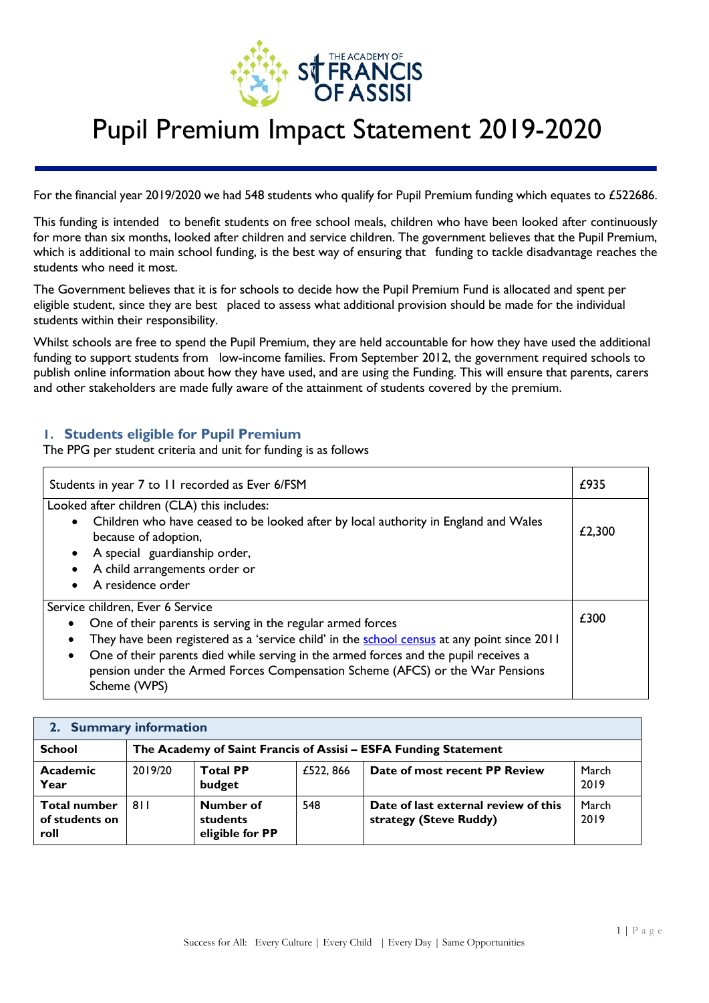

For the financial year 2019/2020 we had 548 students who qualify for Pupil Premium funding which equates to £522686.

This funding is intended to benefit students on free school meals, children who have been looked after continuously for more than six months, looked after children and service children. The government believes that the Pupil Premium, which is additional to main school funding, is the best way of ensuring that funding to tackle disadvantage reaches the students who need it most.

The Government believes that it is for schools to decide how the Pupil Premium Fund is allocated and spent per eligible student, since they are best placed to assess what additional provision should be made for the individual students within their responsibility.

Whilst schools are free to spend the Pupil Premium, they are held accountable for how they have used the additional funding to support students from low-income families. From September 2012, the government required schools to publish online information about how they have used, and are using the Funding. This will ensure that parents, carers and other stakeholders are made fully aware of the attainment of students covered by the premium.

### **1. Students eligible for Pupil Premium**

The PPG per student criteria and unit for funding is as follows

| Students in year 7 to 11 recorded as Ever 6/FSM                                                                                                                                            |      |  |  |  |
|--------------------------------------------------------------------------------------------------------------------------------------------------------------------------------------------|------|--|--|--|
| Looked after children (CLA) this includes:                                                                                                                                                 |      |  |  |  |
| Children who have ceased to be looked after by local authority in England and Wales<br>because of adoption,                                                                                |      |  |  |  |
| A special guardianship order,                                                                                                                                                              |      |  |  |  |
| A child arrangements order or                                                                                                                                                              |      |  |  |  |
| A residence order                                                                                                                                                                          |      |  |  |  |
| Service children, Ever 6 Service                                                                                                                                                           |      |  |  |  |
| One of their parents is serving in the regular armed forces<br>$\bullet$                                                                                                                   | £300 |  |  |  |
| They have been registered as a 'service child' in the school census at any point since 2011<br>$\bullet$                                                                                   |      |  |  |  |
| One of their parents died while serving in the armed forces and the pupil receives a<br>٠<br>pension under the Armed Forces Compensation Scheme (AFCS) or the War Pensions<br>Scheme (WPS) |      |  |  |  |

#### **2. Summary information**

| <b>School</b>                                 | The Academy of Saint Francis of Assisi - ESFA Funding Statement |                                                 |           |                                                                |               |
|-----------------------------------------------|-----------------------------------------------------------------|-------------------------------------------------|-----------|----------------------------------------------------------------|---------------|
| Academic<br>Year                              | 2019/20                                                         | <b>Total PP</b><br>budget                       | £522, 866 | Date of most recent PP Review                                  | March<br>2019 |
| <b>Total number</b><br>of students on<br>roll | 811                                                             | <b>Number of</b><br>students<br>eligible for PP | 548       | Date of last external review of this<br>strategy (Steve Ruddy) | March<br>2019 |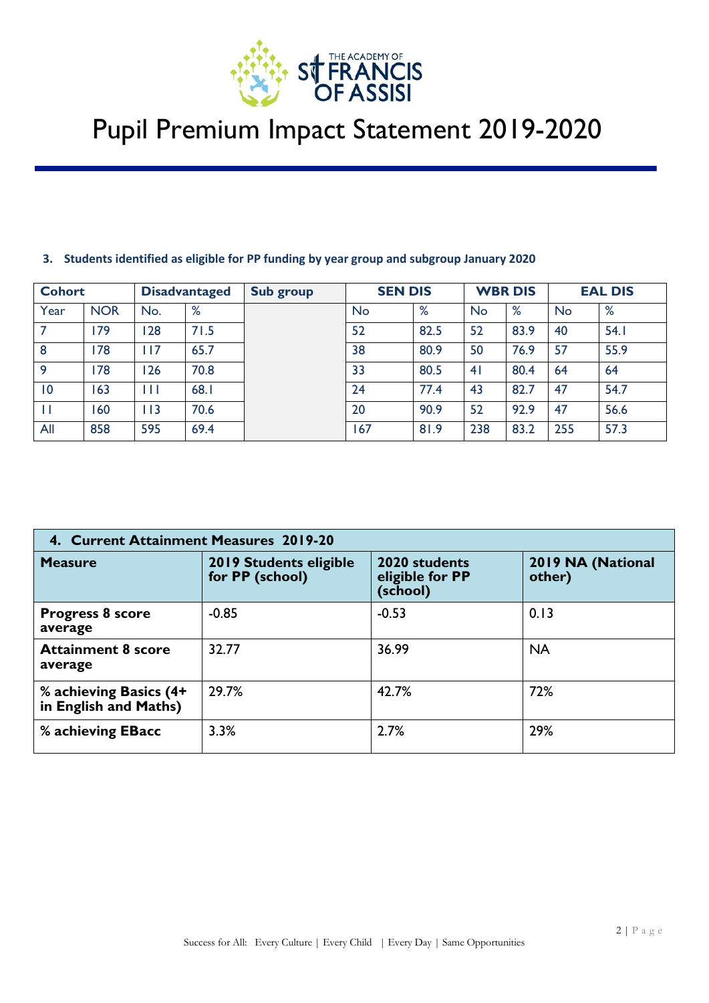

| <b>Cohort</b> |            |     | <b>Disadvantaged</b> | Sub group | <b>SEN DIS</b> |               | <b>WBR DIS</b> |                     |    | <b>EAL DIS</b> |
|---------------|------------|-----|----------------------|-----------|----------------|---------------|----------------|---------------------|----|----------------|
| Year          | <b>NOR</b> | No. | $\mathsf{o}/$<br>70  |           | No             | $\circ$<br>70 | <b>No</b>      | $\mathsf{o}/$<br>70 | No | %              |

7 179 128 71.5 52 82.5 52 83.9 40 54.1 8 | 178 | 117 | 65.7 | 180.9 | 80.9 | 50 | 76.9 | 57 | 55.9 9 | 178 | 126 | 70.8 | | 33 | 80.5 | 41 | 80.4 | 64 | 64 10 | 163 | 111 | 68.1 | 124 | 77.4 | 43 | 82.7 | 47 | 54.7 11 160 113 70.6 20 90.9 52 92.9 47 56.6 All | 858 | 595 | 69.4 | | 167 | 181.9 | 238 | 83.2 | 255 | 57.3

#### **3. Students identified as eligible for PP funding by year group and subgroup January 2020**

| 4. Current Attainment Measures 2019-20          |                                                  |                                              |                             |  |  |  |
|-------------------------------------------------|--------------------------------------------------|----------------------------------------------|-----------------------------|--|--|--|
| <b>Measure</b>                                  | <b>2019 Students eligible</b><br>for PP (school) | 2020 students<br>eligible for PP<br>(school) | 2019 NA (National<br>other) |  |  |  |
| <b>Progress 8 score</b><br>average              | $-0.85$                                          | $-0.53$                                      | 0.13                        |  |  |  |
| <b>Attainment 8 score</b><br>average            | 32.77                                            | 36.99                                        | <b>NA</b>                   |  |  |  |
| % achieving Basics (4+<br>in English and Maths) | 29.7%                                            | 42.7%                                        | 72%                         |  |  |  |
| % achieving EBacc                               | 3.3%                                             | 2.7%                                         | 29%                         |  |  |  |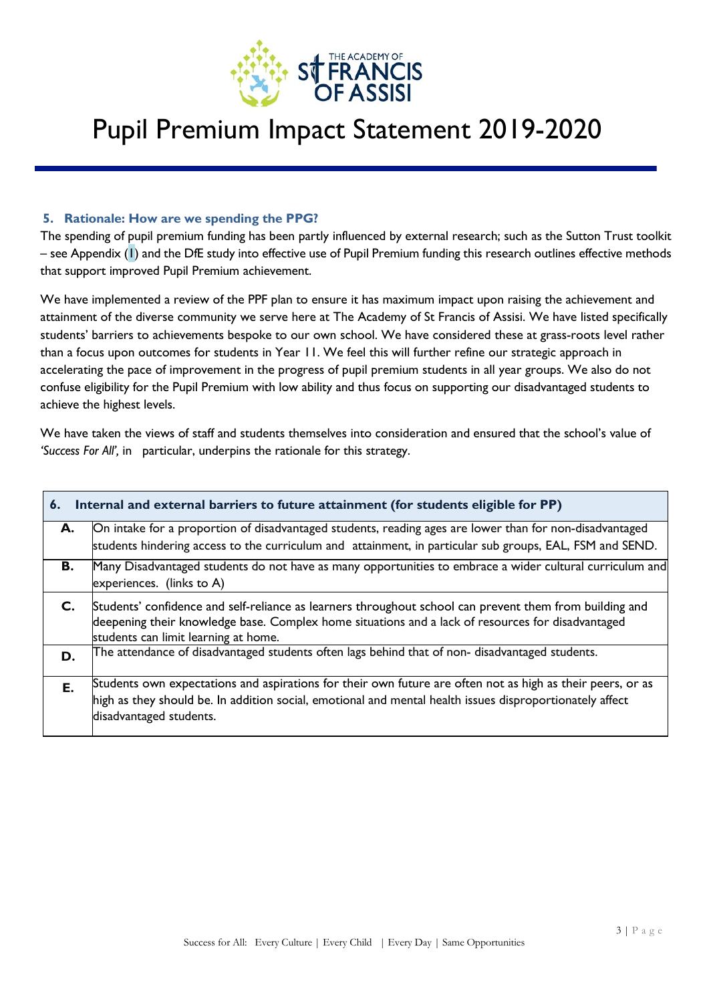

#### **5. Rationale: How are we spending the PPG?**

The spending of pupil premium funding has been partly influenced by external research; such as the Sutton Trust toolkit – see Appendix (1) and the DfE study into effective use of Pupil Premium funding this research outlines effective methods that support improved Pupil Premium achievement.

We have implemented a review of the PPF plan to ensure it has maximum impact upon raising the achievement and attainment of the diverse community we serve here at The Academy of St Francis of Assisi. We have listed specifically students' barriers to achievements bespoke to our own school. We have considered these at grass-roots level rather than a focus upon outcomes for students in Year 11. We feel this will further refine our strategic approach in accelerating the pace of improvement in the progress of pupil premium students in all year groups. We also do not confuse eligibility for the Pupil Premium with low ability and thus focus on supporting our disadvantaged students to achieve the highest levels.

We have taken the views of staff and students themselves into consideration and ensured that the school's value of *'Success For All',* in particular, underpins the rationale for this strategy.

| 6. | Internal and external barriers to future attainment (for students eligible for PP)                                                                                                                                                                   |  |  |  |  |  |  |  |
|----|------------------------------------------------------------------------------------------------------------------------------------------------------------------------------------------------------------------------------------------------------|--|--|--|--|--|--|--|
| А. | On intake for a proportion of disadvantaged students, reading ages are lower than for non-disadvantaged<br>students hindering access to the curriculum and attainment, in particular sub groups, EAL, FSM and SEND.                                  |  |  |  |  |  |  |  |
| В. | Many Disadvantaged students do not have as many opportunities to embrace a wider cultural curriculum and<br>experiences. (links to A)                                                                                                                |  |  |  |  |  |  |  |
| C. | Students' confidence and self-reliance as learners throughout school can prevent them from building and<br>deepening their knowledge base. Complex home situations and a lack of resources for disadvantaged<br>students can limit learning at home. |  |  |  |  |  |  |  |
| D. | The attendance of disadvantaged students often lags behind that of non-disadvantaged students.                                                                                                                                                       |  |  |  |  |  |  |  |
| Е. | Students own expectations and aspirations for their own future are often not as high as their peers, or as<br>high as they should be. In addition social, emotional and mental health issues disproportionately affect<br>disadvantaged students.    |  |  |  |  |  |  |  |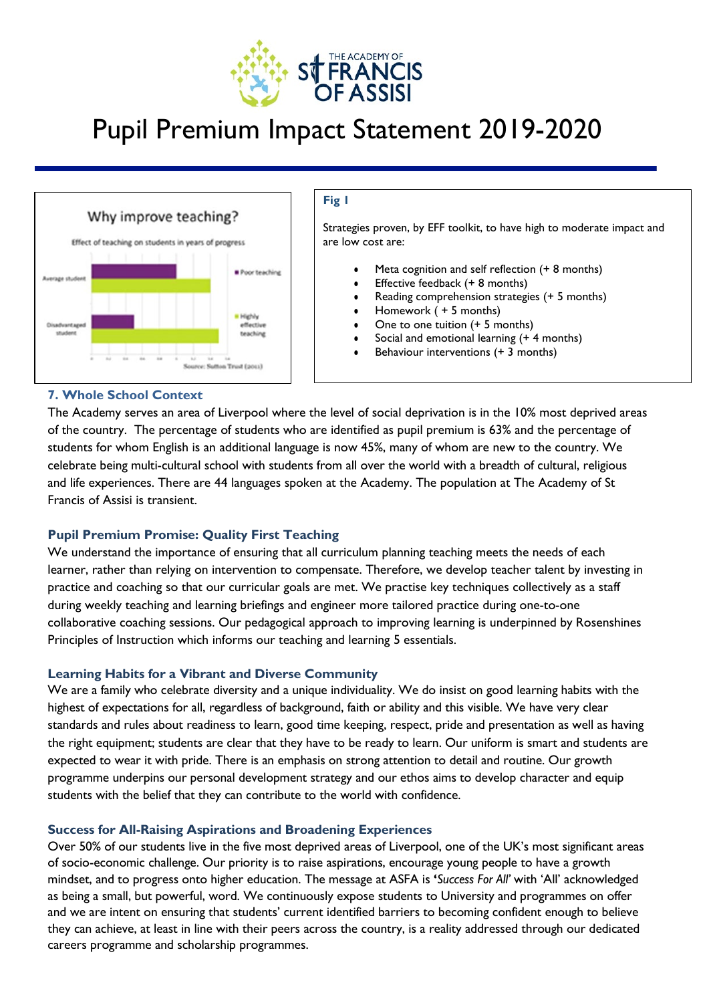



#### **Fig 1**

Strategies proven, by EFF toolkit, to have high to moderate impact and are low cost are:

- Meta cognition and self reflection (+ 8 months)
- **•** Effective feedback  $(+ 8$  months)
- Reading comprehension strategies  $(+ 5$  months)
- Homework ( + 5 months)
- One to one tuition  $(+ 5$  months)
- Social and emotional learning (+ 4 months)
- Behaviour interventions  $(+ 3$  months)

### **7. Whole School Context**

The Academy serves an area of Liverpool where the level of social deprivation is in the 10% most deprived areas of the country. The percentage of students who are identified as pupil premium is 63% and the percentage of students for whom English is an additional language is now 45%, many of whom are new to the country. We celebrate being multi-cultural school with students from all over the world with a breadth of cultural, religious and life experiences. There are 44 languages spoken at the Academy. The population at The Academy of St Francis of Assisi is transient.

### **Pupil Premium Promise: Quality First Teaching**

We understand the importance of ensuring that all curriculum planning teaching meets the needs of each learner, rather than relying on intervention to compensate. Therefore, we develop teacher talent by investing in practice and coaching so that our curricular goals are met. We practise key techniques collectively as a staff during weekly teaching and learning briefings and engineer more tailored practice during one-to-one collaborative coaching sessions. Our pedagogical approach to improving learning is underpinned by Rosenshines Principles of Instruction which informs our teaching and learning 5 essentials.

### **Learning Habits for a Vibrant and Diverse Community**

We are a family who celebrate diversity and a unique individuality. We do insist on good learning habits with the highest of expectations for all, regardless of background, faith or ability and this visible. We have very clear standards and rules about readiness to learn, good time keeping, respect, pride and presentation as well as having the right equipment; students are clear that they have to be ready to learn. Our uniform is smart and students are expected to wear it with pride. There is an emphasis on strong attention to detail and routine. Our growth programme underpins our personal development strategy and our ethos aims to develop character and equip students with the belief that they can contribute to the world with confidence.

### **Success for All-Raising Aspirations and Broadening Experiences**

they can achieve, at least in line with their peers across the country, is a reality addressed through our dedicated careers programme and scholarship programmes. Over 50% of our students live in the five most deprived areas of Liverpool, one of the UK's most significant areas of socio-economic challenge. Our priority is to raise aspirations, encourage young people to have a growth mindset, and to progress onto higher education. The message at ASFA is **'***Success For All'* with 'All' acknowledged as being a small, but powerful, word. We continuously expose students to University and programmes on offer and we are intent on ensuring that students' current identified barriers to becoming confident enough to believe